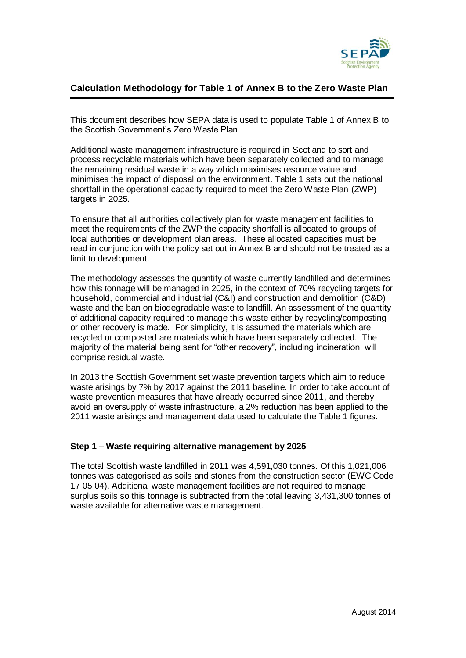

# **Calculation Methodology for Table 1 of Annex B to the Zero Waste Plan**

This document describes how SEPA data is used to populate Table 1 of Annex B to the Scottish Government's Zero Waste Plan.

Additional waste management infrastructure is required in Scotland to sort and process recyclable materials which have been separately collected and to manage the remaining residual waste in a way which maximises resource value and minimises the impact of disposal on the environment. Table 1 sets out the national shortfall in the operational capacity required to meet the Zero Waste Plan (ZWP) targets in 2025.

To ensure that all authorities collectively plan for waste management facilities to meet the requirements of the ZWP the capacity shortfall is allocated to groups of local authorities or development plan areas. These allocated capacities must be read in conjunction with the policy set out in Annex B and should not be treated as a limit to development.

The methodology assesses the quantity of waste currently landfilled and determines how this tonnage will be managed in 2025, in the context of 70% recycling targets for household, commercial and industrial (C&I) and construction and demolition (C&D) waste and the ban on biodegradable waste to landfill. An assessment of the quantity of additional capacity required to manage this waste either by recycling/composting or other recovery is made. For simplicity, it is assumed the materials which are recycled or composted are materials which have been separately collected. The majority of the material being sent for "other recovery", including incineration, will comprise residual waste.

In 2013 the Scottish Government set waste prevention targets which aim to reduce waste arisings by 7% by 2017 against the 2011 baseline. In order to take account of waste prevention measures that have already occurred since 2011, and thereby avoid an oversupply of waste infrastructure, a 2% reduction has been applied to the 2011 waste arisings and management data used to calculate the Table 1 figures.

### **Step 1 – Waste requiring alternative management by 2025**

The total Scottish waste landfilled in 2011 was 4,591,030 tonnes. Of this 1,021,006 tonnes was categorised as soils and stones from the construction sector (EWC Code 17 05 04). Additional waste management facilities are not required to manage surplus soils so this tonnage is subtracted from the total leaving 3,431,300 tonnes of waste available for alternative waste management.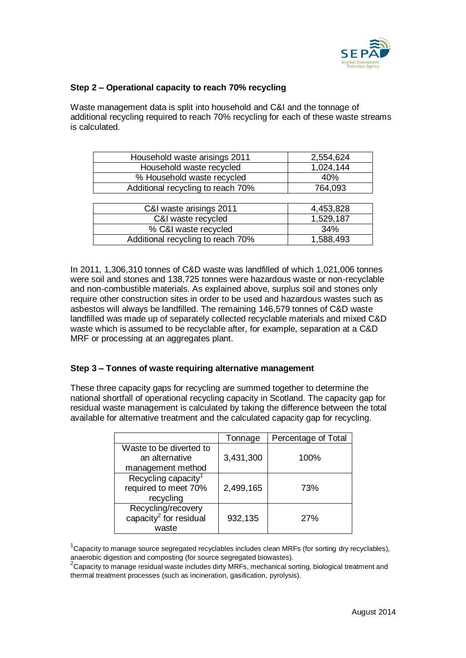

### **Step 2 – Operational capacity to reach 70% recycling**

Waste management data is split into household and C&I and the tonnage of additional recycling required to reach 70% recycling for each of these waste streams is calculated.

| Household waste arisings 2011     | 2,554,624 |
|-----------------------------------|-----------|
| Household waste recycled          | 1,024,144 |
| % Household waste recycled        | 40%       |
| Additional recycling to reach 70% | 764,093   |
|                                   |           |
| C&I waste arisings 2011           | 4,453,828 |
| C&I waste recycled                | 1,529,187 |
| % C&I waste recycled              | 34%       |
| Additional recycling to reach 70% | 1,588,493 |

In 2011, 1,306,310 tonnes of C&D waste was landfilled of which 1,021,006 tonnes were soil and stones and 138,725 tonnes were hazardous waste or non-recyclable and non-combustible materials. As explained above, surplus soil and stones only require other construction sites in order to be used and hazardous wastes such as asbestos will always be landfilled. The remaining 146,579 tonnes of C&D waste landfilled was made up of separately collected recyclable materials and mixed C&D waste which is assumed to be recyclable after, for example, separation at a C&D MRF or processing at an aggregates plant.

### **Step 3 – Tonnes of waste requiring alternative management**

These three capacity gaps for recycling are summed together to determine the national shortfall of operational recycling capacity in Scotland. The capacity gap for residual waste management is calculated by taking the difference between the total available for alternative treatment and the calculated capacity gap for recycling.

|                                    | Tonnage   | Percentage of Total |
|------------------------------------|-----------|---------------------|
| Waste to be diverted to            |           |                     |
| an alternative                     | 3,431,300 | 100%                |
| management method                  |           |                     |
| Recycling capacity <sup>1</sup>    |           |                     |
| required to meet 70%               | 2,499,165 | 73%                 |
| recycling                          |           |                     |
| Recycling/recovery                 |           |                     |
| capacity <sup>2</sup> for residual | 932,135   | 27%                 |
| waste                              |           |                     |

 $1$ Capacity to manage source segregated recyclables includes clean MRFs (for sorting dry recyclables), anaerobic digestion and composting (for source segregated biowastes).

 $2$ Capacity to manage residual waste includes dirty MRFs, mechanical sorting, biological treatment and thermal treatment processes (such as incineration, gasification, pyrolysis).